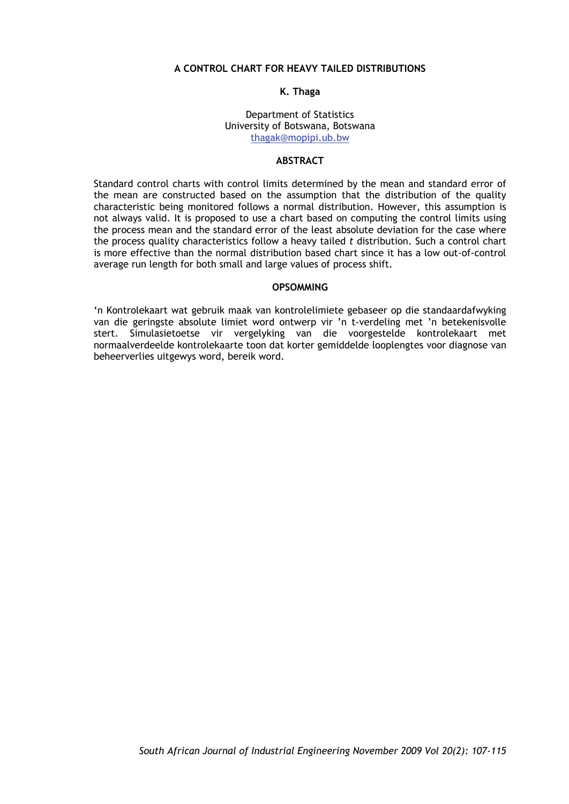# **A CONTROL CHART FOR HEAVY TAILED DISTRIBUTIONS**

#### **K. Thaga**

#### Department of Statistics University of Botswana, Botswana thagak@mopipi.ub.bw

# **ABSTRACT**

Standard control charts with control limits determined by the mean and standard error of the mean are constructed based on the assumption that the distribution of the quality characteristic being monitored follows a normal distribution. However, this assumption is not always valid. It is proposed to use a chart based on computing the control limits using the process mean and the standard error of the least absolute deviation for the case where the process quality characteristics follow a heavy tailed *t* distribution. Such a control chart is more effective than the normal distribution based chart since it has a low out-of-control average run length for both small and large values of process shift.

### **OPSOMMING**

'n Kontrolekaart wat gebruik maak van kontrolelimiete gebaseer op die standaardafwyking van die geringste absolute limiet word ontwerp vir 'n t-verdeling met 'n betekenisvolle stert. Simulasietoetse vir vergelyking van die voorgestelde kontrolekaart met normaalverdeelde kontrolekaarte toon dat korter gemiddelde looplengtes voor diagnose van beheerverlies uitgewys word, bereik word.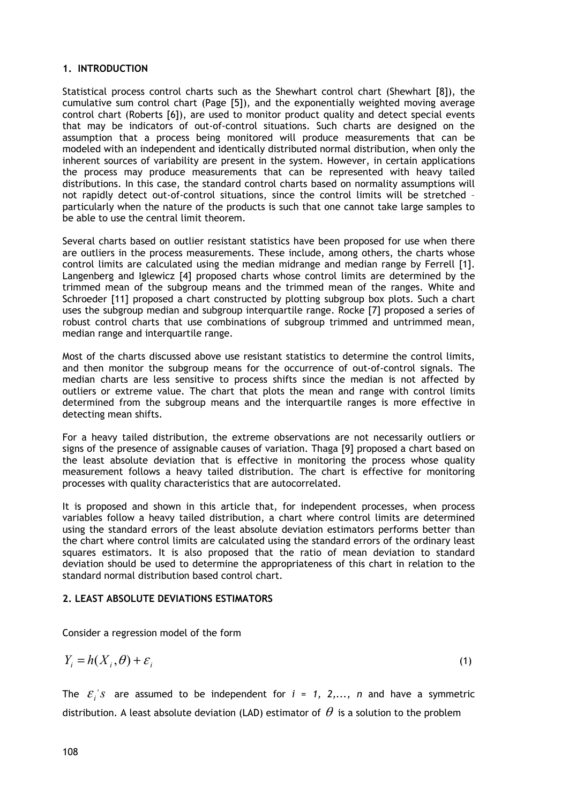# **1. INTRODUCTION**

Statistical process control charts such as the Shewhart control chart (Shewhart [8]), the cumulative sum control chart (Page [5]), and the exponentially weighted moving average control chart (Roberts [6]), are used to monitor product quality and detect special events that may be indicators of out-of-control situations. Such charts are designed on the assumption that a process being monitored will produce measurements that can be modeled with an independent and identically distributed normal distribution, when only the inherent sources of variability are present in the system. However, in certain applications the process may produce measurements that can be represented with heavy tailed distributions. In this case, the standard control charts based on normality assumptions will not rapidly detect out-of-control situations, since the control limits will be stretched – particularly when the nature of the products is such that one cannot take large samples to be able to use the central limit theorem.

Several charts based on outlier resistant statistics have been proposed for use when there are outliers in the process measurements. These include, among others, the charts whose control limits are calculated using the median midrange and median range by Ferrell [1]. Langenberg and Iglewicz [4] proposed charts whose control limits are determined by the trimmed mean of the subgroup means and the trimmed mean of the ranges. White and Schroeder [11] proposed a chart constructed by plotting subgroup box plots. Such a chart uses the subgroup median and subgroup interquartile range. Rocke [7] proposed a series of robust control charts that use combinations of subgroup trimmed and untrimmed mean, median range and interquartile range.

Most of the charts discussed above use resistant statistics to determine the control limits, and then monitor the subgroup means for the occurrence of out-of-control signals. The median charts are less sensitive to process shifts since the median is not affected by outliers or extreme value. The chart that plots the mean and range with control limits determined from the subgroup means and the interquartile ranges is more effective in detecting mean shifts.

For a heavy tailed distribution, the extreme observations are not necessarily outliers or signs of the presence of assignable causes of variation. Thaga [9] proposed a chart based on the least absolute deviation that is effective in monitoring the process whose quality measurement follows a heavy tailed distribution. The chart is effective for monitoring processes with quality characteristics that are autocorrelated.

It is proposed and shown in this article that, for independent processes, when process variables follow a heavy tailed distribution, a chart where control limits are determined using the standard errors of the least absolute deviation estimators performs better than the chart where control limits are calculated using the standard errors of the ordinary least squares estimators. It is also proposed that the ratio of mean deviation to standard deviation should be used to determine the appropriateness of this chart in relation to the standard normal distribution based control chart.

# **2. LEAST ABSOLUTE DEVIATIONS ESTIMATORS**

Consider a regression model of the form

$$
Y_i = h(X_i, \theta) + \varepsilon_i \tag{1}
$$

The  $\varepsilon_i$ 's are assumed to be independent for  $i = 1, 2,..., n$  and have a symmetric distribution. A least absolute deviation (LAD) estimator of  $\theta$  is a solution to the problem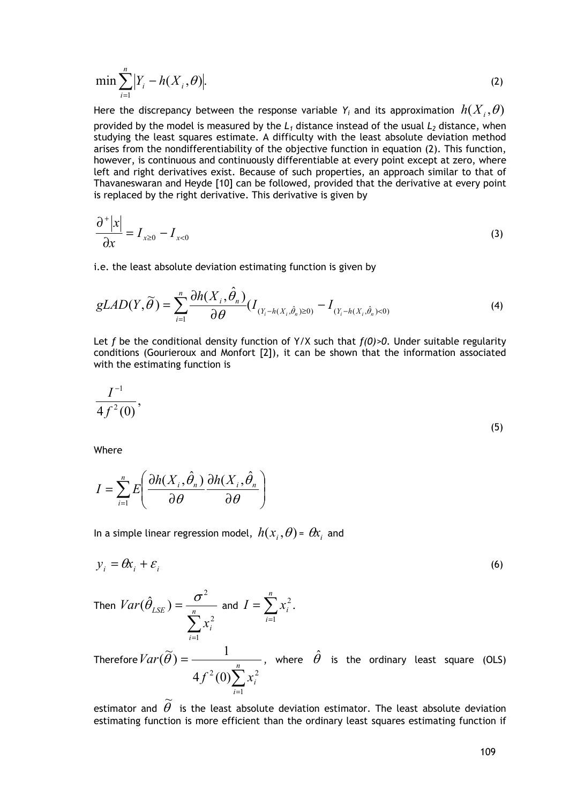$$
\min \sum_{i=1}^{n} |Y_i - h(X_i, \theta)|. \tag{2}
$$

Here the discrepancy between the response variable  $Y_i$  and its approximation  $h(X_i, \theta)$ provided by the model is measured by the  $L_1$  distance instead of the usual  $L_2$  distance, when studying the least squares estimate. A difficulty with the least absolute deviation method arises from the nondifferentiability of the objective function in equation (2). This function, however, is continuous and continuously differentiable at every point except at zero, where left and right derivatives exist. Because of such properties, an approach similar to that of Thavaneswaran and Heyde [10] can be followed, provided that the derivative at every point is replaced by the right derivative. This derivative is given by

$$
\frac{\partial^+|x|}{\partial x} = I_{x\geq 0} - I_{x<0}
$$
\n(3)

i.e. the least absolute deviation estimating function is given by

$$
gLAD(Y,\widetilde{\theta}) = \sum_{i=1}^{n} \frac{\partial h(X_i, \hat{\theta}_n)}{\partial \theta} (I_{(Y_i - h(X_i, \hat{\theta}_n) \ge 0)} - I_{(Y_i - h(X_i, \hat{\theta}_n) < 0)} \tag{4}
$$

Let *f* be the conditional density function of Y/X such that  $f(0) > 0$ . Under suitable regularity conditions (Gourieroux and Monfort [2]), it can be shown that the information associated with the estimating function is

$$
\frac{I^{-1}}{4f^2(0)},\tag{5}
$$

Where

$$
I = \sum_{i=1}^{n} E\left(\frac{\partial h(X_i, \hat{\theta}_n)}{\partial \theta} \frac{\partial h(X_i, \hat{\theta}_n)}{\partial \theta}\right)
$$

In a simple linear regression model,  $h(x_i, \theta) = \theta x_i$  and

$$
y_i = \theta x_i + \varepsilon_i \tag{6}
$$

Then 
$$
Var(\hat{\theta}_{LSE}) = \frac{\sigma^2}{\sum_{i=1}^{n} x_i^2}
$$
 and  $I = \sum_{i=1}^{n} x_i^2$ .

Therefore  $\sum_{i=1}$  $=\frac{1}{n}$ *i*  $f^2(0)\sum x_i^2$ *Var* 1  $4f^2(0)\sum x_i^2$  $(\widetilde{\theta}) = \frac{1}{\sqrt{1-\theta}}$ , where  $\hat{\theta}$  is the ordinary least square (OLS)

estimator and  $\widetilde{\theta}$  is the least absolute deviation estimator. The least absolute deviation estimating function is more efficient than the ordinary least squares estimating function if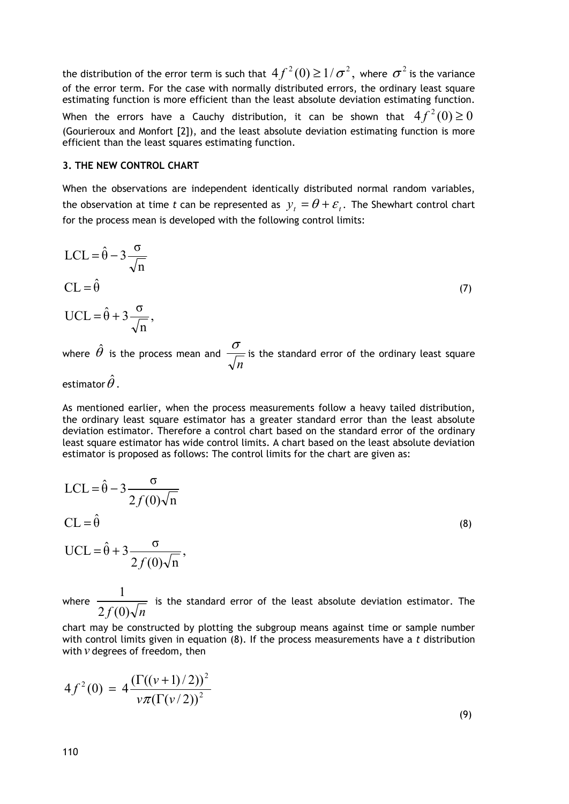the distribution of the error term is such that  $4f^2(0) \geq 1/\sigma^2$ , where  $\sigma^2$  is the variance of the error term. For the case with normally distributed errors, the ordinary least square estimating function is more efficient than the least absolute deviation estimating function. When the errors have a Cauchy distribution, it can be shown that  $4 f^2(0) \ge 0$ (Gourieroux and Monfort [2]), and the least absolute deviation estimating function is more efficient than the least squares estimating function.

#### **3. THE NEW CONTROL CHART**

When the observations are independent identically distributed normal random variables, the observation at time *t* can be represented as  $y_t = \theta + \varepsilon_t$ . The Shewhart control chart for the process mean is developed with the following control limits:

$$
LCL = \hat{\theta} - 3\frac{\sigma}{\sqrt{n}}
$$
  
\n
$$
CL = \hat{\theta}
$$
  
\n
$$
UCL = \hat{\theta} + 3\frac{\sigma}{\sqrt{n}},
$$
  
\n
$$
\hat{\theta}
$$
 (7)

where  $\,\hat{\theta}\,$  is the process mean and *n*  $\sigma$  is the standard error of the ordinary least square

estimator  $\hat{\theta}$  .

As mentioned earlier, when the process measurements follow a heavy tailed distribution, the ordinary least square estimator has a greater standard error than the least absolute deviation estimator. Therefore a control chart based on the standard error of the ordinary least square estimator has wide control limits. A chart based on the least absolute deviation estimator is proposed as follows: The control limits for the chart are given as:

$$
LCL = \hat{\theta} - 3 \frac{\sigma}{2f(0)\sqrt{n}}
$$
  
CL =  $\hat{\theta}$   
UCL =  $\hat{\theta} + 3 \frac{\sigma}{2f(0)\sqrt{n}}$ , (8)

where  $2f(0)\sqrt{n}$  $\frac{1}{\sqrt{1-\frac{1}{1-\frac{1}{\sqrt{1-\frac{1}{\sqrt{1-\frac{1}{\sqrt{1-\frac{1}{\sqrt{1-\frac{1}{\sqrt{1-\frac{1}{\sqrt{1-\frac{1}{\sqrt{1-\frac{1}{\sqrt{1-\frac{1}{\sqrt{1-\frac{1}{\sqrt{1-\frac{1}{\sqrt{1-\frac{1}{\sqrt{1-\frac{1}{\sqrt{1-\frac{1}{\sqrt{1-\frac{1}{\sqrt{1-\frac{1}{\sqrt{1-\frac{1}{\sqrt{1-\frac{1}{\sqrt{1-\frac{1}{\sqrt{1-\frac{1}{\sqrt{1-\frac{1}{\sqrt{1-\frac{1}{\sqrt{1-\frac{1}{\sqrt$ 

chart may be constructed by plotting the subgroup means against time or sample number with control limits given in equation (8). If the process measurements have a *t* distribution with *v* degrees of freedom, then

$$
4f^{2}(0) = 4 \frac{\left(\Gamma((\nu+1)/2)\right)^{2}}{\nu \pi \left(\Gamma(\nu/2)\right)^{2}}
$$

(9)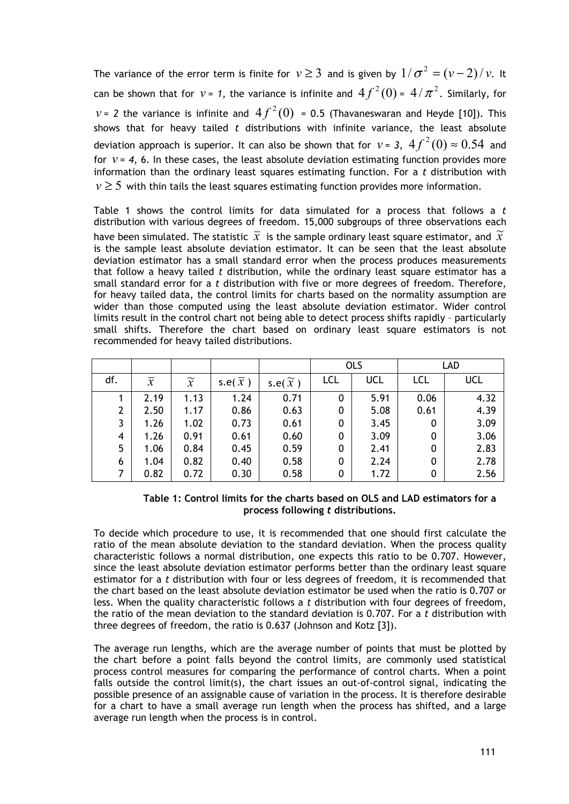The variance of the error term is finite for  $v \ge 3$  and is given by  $1/\sigma^2 = (v-2)/v$ . It can be shown that for  $v$  = 1, the variance is infinite and  $4f^2(0)$  =  $4/\pi^2$ . Similarly, for  $v = 2$  the variance is infinite and  $4f^2(0) = 0.5$  (Thavaneswaran and Heyde [10]). This shows that for heavy tailed *t* distributions with infinite variance, the least absolute deviation approach is superior. It can also be shown that for  $v = 3$ ,  $4 f^2(0) \approx 0.54$  and for  $v = 4$ , 6. In these cases, the least absolute deviation estimating function provides more information than the ordinary least squares estimating function. For a *t* distribution with  $v \geq 5$  with thin tails the least squares estimating function provides more information.

Table 1 shows the control limits for data simulated for a process that follows a *t* distribution with various degrees of freedom. 15,000 subgroups of three observations each have been simulated. The statistic  $\bar{x}$  is the sample ordinary least square estimator, and  $\tilde{x}$ is the sample least absolute deviation estimator. It can be seen that the least absolute deviation estimator has a small standard error when the process produces measurements that follow a heavy tailed *t* distribution, while the ordinary least square estimator has a small standard error for a *t* distribution with five or more degrees of freedom. Therefore, for heavy tailed data, the control limits for charts based on the normality assumption are wider than those computed using the least absolute deviation estimator. Wider control limits result in the control chart not being able to detect process shifts rapidly – particularly small shifts. Therefore the chart based on ordinary least square estimators is not recommended for heavy tailed distributions.

|     |                |                 |           |                        | <b>OLS</b> |      | <b>LAD</b> |      |
|-----|----------------|-----------------|-----------|------------------------|------------|------|------------|------|
| df. | $\overline{x}$ | $\widetilde{x}$ | s.e $(x)$ | s.e( $\widetilde{x}$ ) | LCL        | UCL  | LCL        | UCL  |
|     | 2.19           | 1.13            | 1.24      | 0.71                   | 0          | 5.91 | 0.06       | 4.32 |
| 2   | 2.50           | 1.17            | 0.86      | 0.63                   | 0          | 5.08 | 0.61       | 4.39 |
| 3   | 1.26           | 1.02            | 0.73      | 0.61                   | 0          | 3.45 | 0          | 3.09 |
| 4   | 1.26           | 0.91            | 0.61      | 0.60                   | 0          | 3.09 | 0          | 3.06 |
| 5   | 1.06           | 0.84            | 0.45      | 0.59                   | 0          | 2.41 | 0          | 2.83 |
| 6   | 1.04           | 0.82            | 0.40      | 0.58                   | 0          | 2.24 | 0          | 2.78 |
|     | 0.82           | 0.72            | 0.30      | 0.58                   | 0          | 1.72 | 0          | 2.56 |

## **Table 1: Control limits for the charts based on OLS and LAD estimators for a process following** *t* **distributions.**

To decide which procedure to use, it is recommended that one should first calculate the ratio of the mean absolute deviation to the standard deviation. When the process quality characteristic follows a normal distribution, one expects this ratio to be 0.707. However, since the least absolute deviation estimator performs better than the ordinary least square estimator for a *t* distribution with four or less degrees of freedom, it is recommended that the chart based on the least absolute deviation estimator be used when the ratio is 0.707 or less. When the quality characteristic follows a *t* distribution with four degrees of freedom, the ratio of the mean deviation to the standard deviation is 0.707. For a *t* distribution with three degrees of freedom, the ratio is 0.637 (Johnson and Kotz [3]).

The average run lengths, which are the average number of points that must be plotted by the chart before a point falls beyond the control limits, are commonly used statistical process control measures for comparing the performance of control charts. When a point falls outside the control limit(s), the chart issues an out-of-control signal, indicating the possible presence of an assignable cause of variation in the process. It is therefore desirable for a chart to have a small average run length when the process has shifted, and a large average run length when the process is in control.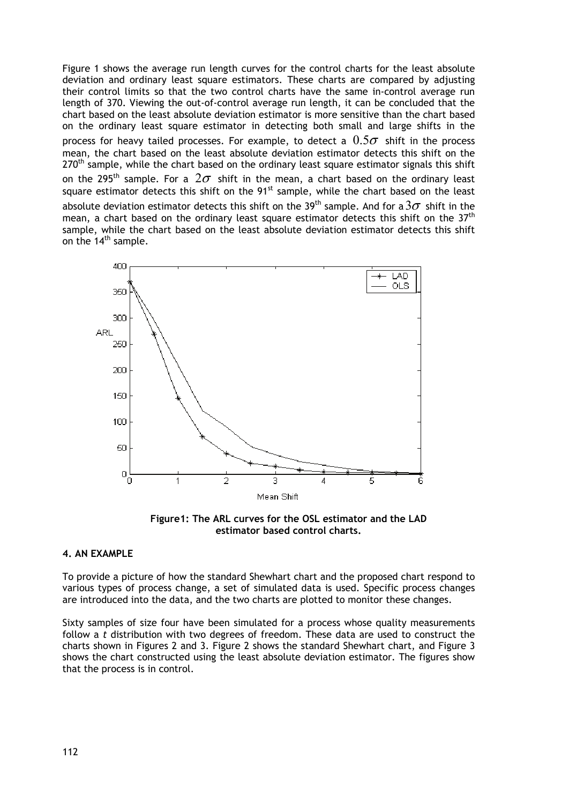Figure 1 shows the average run length curves for the control charts for the least absolute deviation and ordinary least square estimators. These charts are compared by adjusting their control limits so that the two control charts have the same in-control average run length of 370. Viewing the out-of-control average run length, it can be concluded that the chart based on the least absolute deviation estimator is more sensitive than the chart based on the ordinary least square estimator in detecting both small and large shifts in the process for heavy tailed processes. For example, to detect a  $0.5\sigma$  shift in the process mean, the chart based on the least absolute deviation estimator detects this shift on the 270<sup>th</sup> sample, while the chart based on the ordinary least square estimator signals this shift on the 295<sup>th</sup> sample. For a  $2\sigma$  shift in the mean, a chart based on the ordinary least square estimator detects this shift on the  $91<sup>st</sup>$  sample, while the chart based on the least absolute deviation estimator detects this shift on the 39<sup>th</sup> sample. And for a  $3\sigma$  shift in the mean, a chart based on the ordinary least square estimator detects this shift on the  $37<sup>th</sup>$ sample, while the chart based on the least absolute deviation estimator detects this shift on the  $14<sup>th</sup>$  sample.



**Figure1: The ARL curves for the OSL estimator and the LAD estimator based control charts.** 

## **4. AN EXAMPLE**

To provide a picture of how the standard Shewhart chart and the proposed chart respond to various types of process change, a set of simulated data is used. Specific process changes are introduced into the data, and the two charts are plotted to monitor these changes.

Sixty samples of size four have been simulated for a process whose quality measurements follow a *t* distribution with two degrees of freedom. These data are used to construct the charts shown in Figures 2 and 3. Figure 2 shows the standard Shewhart chart, and Figure 3 shows the chart constructed using the least absolute deviation estimator. The figures show that the process is in control.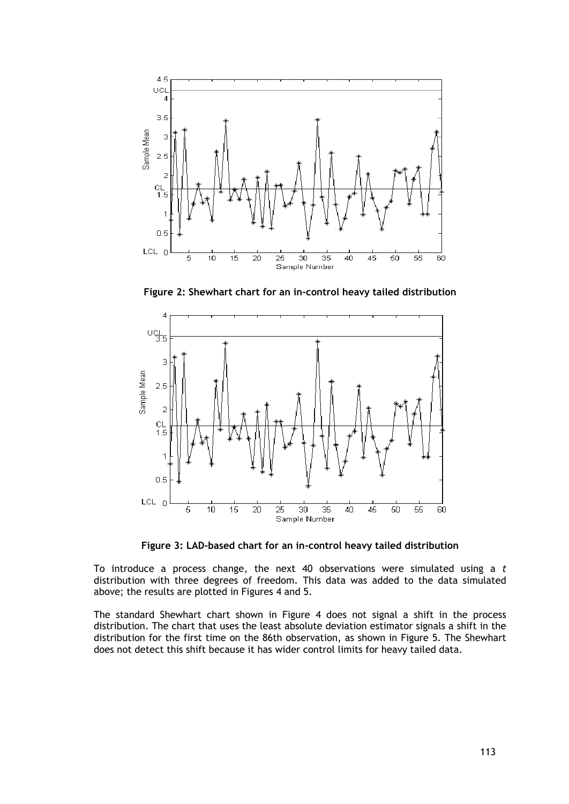

**Figure 2: Shewhart chart for an in-control heavy tailed distribution** 



**Figure 3: LAD-based chart for an in-control heavy tailed distribution** 

To introduce a process change, the next 40 observations were simulated using a *t* distribution with three degrees of freedom. This data was added to the data simulated above; the results are plotted in Figures 4 and 5.

The standard Shewhart chart shown in Figure 4 does not signal a shift in the process distribution. The chart that uses the least absolute deviation estimator signals a shift in the distribution for the first time on the 86th observation, as shown in Figure 5. The Shewhart does not detect this shift because it has wider control limits for heavy tailed data.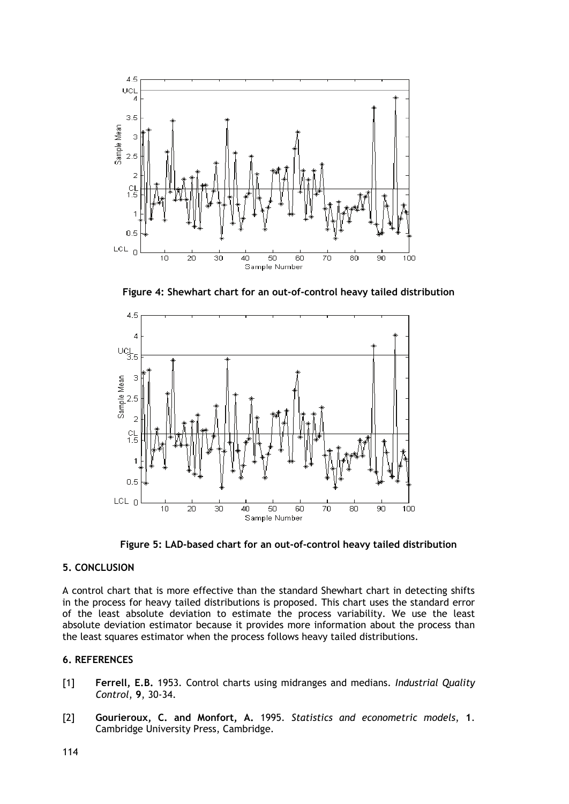

**Figure 4: Shewhart chart for an out-of-control heavy tailed distribution**



**Figure 5: LAD-based chart for an out-of-control heavy tailed distribution** 

# **5. CONCLUSION**

A control chart that is more effective than the standard Shewhart chart in detecting shifts in the process for heavy tailed distributions is proposed. This chart uses the standard error of the least absolute deviation to estimate the process variability. We use the least absolute deviation estimator because it provides more information about the process than the least squares estimator when the process follows heavy tailed distributions.

### **6. REFERENCES**

- [1] **Ferrell, E.B.** 1953. Control charts using midranges and medians. *Industrial Quality Control*, **9**, 30-34.
- [2] **Gourieroux, C. and Monfort, A.** 1995. *Statistics and econometric models*, **1**. Cambridge University Press, Cambridge.